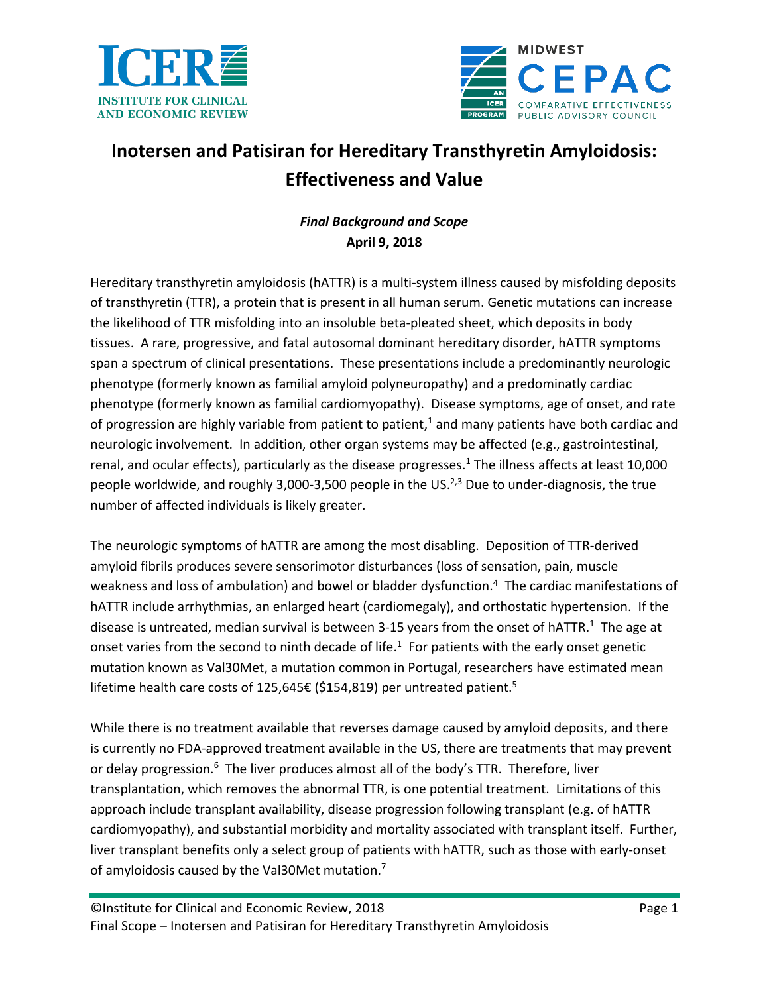



# **Inotersen and Patisiran for Hereditary Transthyretin Amyloidosis: Effectiveness and Value**

# *Final Background and Scope* **April 9, 2018**

Hereditary transthyretin amyloidosis (hATTR) is a multi-system illness caused by misfolding deposits of transthyretin (TTR), a protein that is present in all human serum. Genetic mutations can increase the likelihood of TTR misfolding into an insoluble beta-pleated sheet, which deposits in body tissues. A rare, progressive, and fatal autosomal dominant hereditary disorder, hATTR symptoms span a spectrum of clinical presentations. These presentations include a predominantly neurologic phenotype (formerly known as familial amyloid polyneuropathy) and a predominatly cardiac phenotype (formerly known as familial cardiomyopathy). Disease symptoms, age of onset, and rate of progression are highly variable from patient to patient[,](#page-9-0)<sup>1</sup> and many patients have both cardiac and neurologic involvement. In addition, other organ systems may be affected (e.g., gastrointestinal, renal, and ocular effects), particularly as the disease progresses.<sup>[1](#page-9-0)</sup> The illness affects at least 10,000 people worldwide, and roughly 3,000-3,500 people in the US.<sup>[2,](#page-9-1)[3](#page-9-2)</sup> Due to under-diagnosis, the true number of affected individuals is likely greater.

The neurologic symptoms of hATTR are among the most disabling. Deposition of TTR-derived amyloid fibrils produces severe sensorimotor disturbances (loss of sensation, pain, muscle weakness and loss of ambulation) and bowel or bladder dysfunction.[4](#page-9-3) The cardiac manifestations of hATTR include arrhythmias, an enlarged heart (cardiomegaly), and orthostatic hypertension. If the disease is untreated, median survival is between 3-15 years from the onset of hATTR[.](#page-9-0)<sup>1</sup> The age at onset varies from the second to ninth decade of life.<sup>[1](#page-9-0)</sup> For patients with the early onset genetic mutation known as Val30Met, a mutation common in Portugal, researchers have estimated mean lifetime health care costs of 12[5](#page-9-4),645€ (\$154,819) per untreated patient.<sup>5</sup>

While there is no treatment available that reverses damage caused by amyloid deposits, and there is currently no FDA-approved treatment available in the US, there are treatments that may prevent or delay progression.<sup>[6](#page-9-5)</sup> The liver produces almost all of the body's TTR. Therefore, liver transplantation, which removes the abnormal TTR, is one potential treatment. Limitations of this approach include transplant availability, disease progression following transplant (e.g. of hATTR cardiomyopathy), and substantial morbidity and mortality associated with transplant itself. Further, liver transplant benefits only a select group of patients with hATTR, such as those with early-onset of amyloidosis caused by the Val30Met mutation[.](#page-9-6)<sup>7</sup>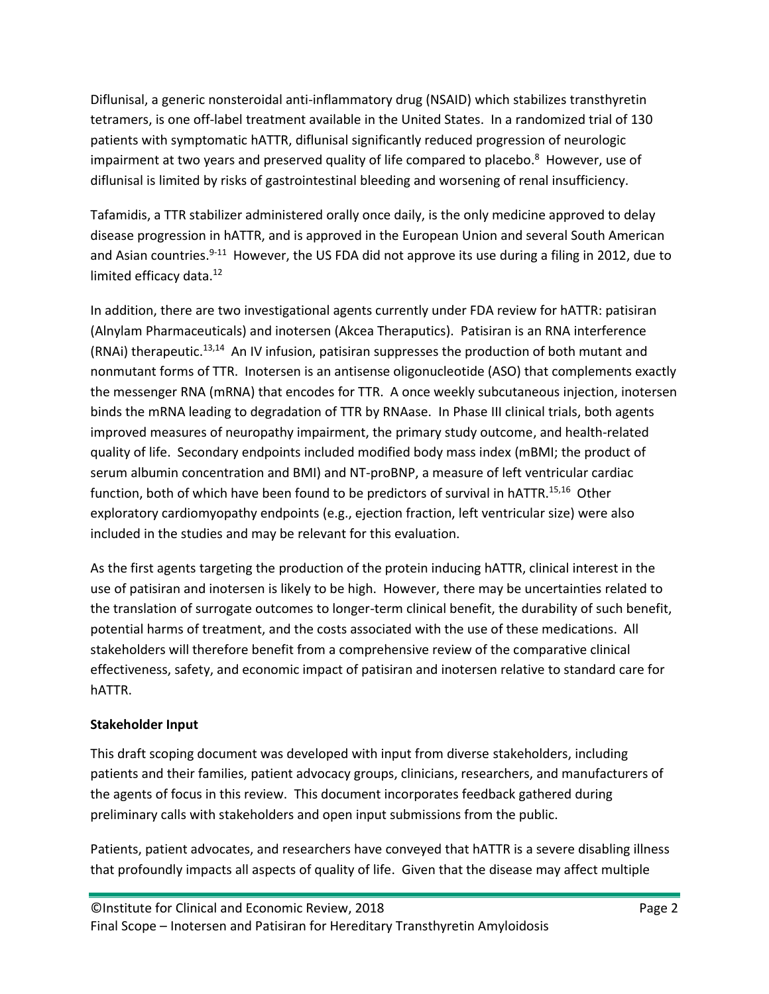Diflunisal, a generic nonsteroidal anti-inflammatory drug (NSAID) which stabilizes transthyretin tetramers, is one off-label treatment available in the United States. In a randomized trial of 130 patients with symptomatic hATTR, diflunisal significantly reduced progression of neurologic impairment at two years and preserved quality of life compared to placebo[.](#page-9-7) <sup>8</sup> However, use of diflunisal is limited by risks of gastrointestinal bleeding and worsening of renal insufficiency.

Tafamidis, a TTR stabilizer administered orally once daily, is the only medicine approved to delay disease progression in hATTR, and is approved in the European Union and several South American and Asian countries.<sup>[9-11](#page-9-8)</sup> However, the US FDA did not approve its use during a filing in 2012, due to limited efficacy data.<sup>[12](#page-9-9)</sup>

In addition, there are two investigational agents currently under FDA review for hATTR: patisiran (Alnylam Pharmaceuticals) and inotersen (Akcea Theraputics). Patisiran is an RNA interference (RNAi) therapeutic.<sup>[13,](#page-9-10)[14](#page-9-11)</sup> An IV infusion, patisiran suppresses the production of both mutant and nonmutant forms of TTR. Inotersen is an antisense oligonucleotide (ASO) that complements exactly the messenger RNA (mRNA) that encodes for TTR. A once weekly subcutaneous injection, inotersen binds the mRNA leading to degradation of TTR by RNAase. In Phase III clinical trials, both agents improved measures of neuropathy impairment, the primary study outcome, and health-related quality of life. Secondary endpoints included modified body mass index (mBMI; the product of serum albumin concentration and BMI) and NT-proBNP, a measure of left ventricular cardiac function, both of which have been found to be predictors of survival in hATTR.<sup>[15,](#page-9-12)[16](#page-9-13)</sup> Other exploratory cardiomyopathy endpoints (e.g., ejection fraction, left ventricular size) were also included in the studies and may be relevant for this evaluation.

As the first agents targeting the production of the protein inducing hATTR, clinical interest in the use of patisiran and inotersen is likely to be high. However, there may be uncertainties related to the translation of surrogate outcomes to longer-term clinical benefit, the durability of such benefit, potential harms of treatment, and the costs associated with the use of these medications. All stakeholders will therefore benefit from a comprehensive review of the comparative clinical effectiveness, safety, and economic impact of patisiran and inotersen relative to standard care for hATTR.

## **Stakeholder Input**

This draft scoping document was developed with input from diverse stakeholders, including patients and their families, patient advocacy groups, clinicians, researchers, and manufacturers of the agents of focus in this review. This document incorporates feedback gathered during preliminary calls with stakeholders and open input submissions from the public.

Patients, patient advocates, and researchers have conveyed that hATTR is a severe disabling illness that profoundly impacts all aspects of quality of life. Given that the disease may affect multiple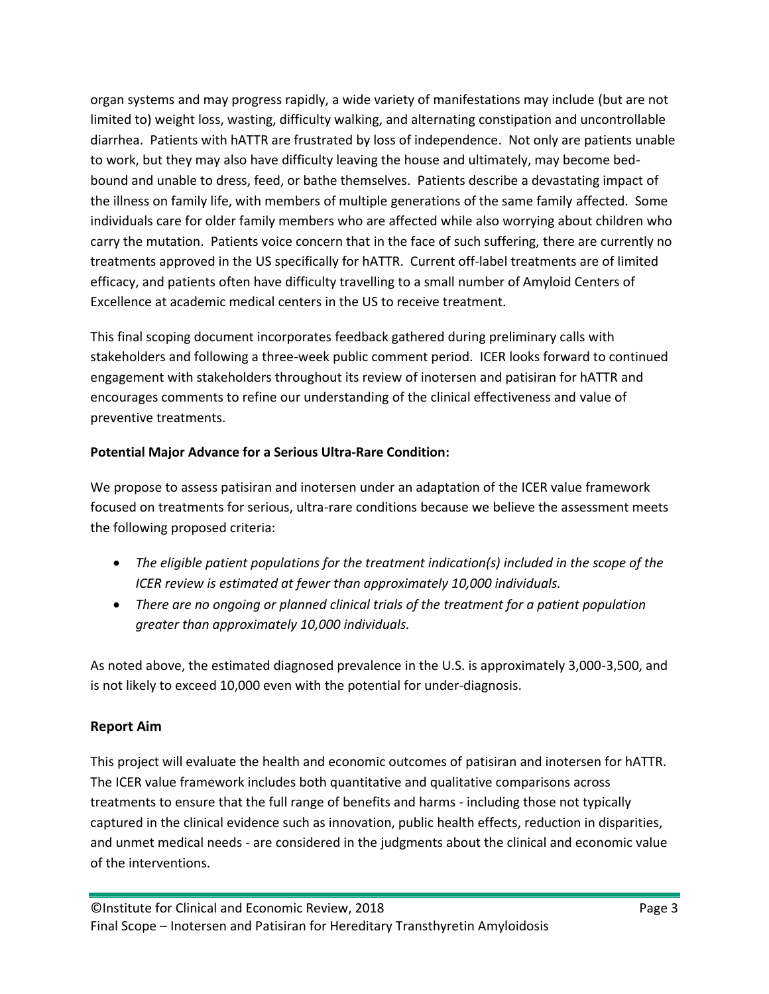organ systems and may progress rapidly, a wide variety of manifestations may include (but are not limited to) weight loss, wasting, difficulty walking, and alternating constipation and uncontrollable diarrhea. Patients with hATTR are frustrated by loss of independence. Not only are patients unable to work, but they may also have difficulty leaving the house and ultimately, may become bedbound and unable to dress, feed, or bathe themselves. Patients describe a devastating impact of the illness on family life, with members of multiple generations of the same family affected. Some individuals care for older family members who are affected while also worrying about children who carry the mutation. Patients voice concern that in the face of such suffering, there are currently no treatments approved in the US specifically for hATTR. Current off-label treatments are of limited efficacy, and patients often have difficulty travelling to a small number of Amyloid Centers of Excellence at academic medical centers in the US to receive treatment.

This final scoping document incorporates feedback gathered during preliminary calls with stakeholders and following a three-week public comment period. ICER looks forward to continued engagement with stakeholders throughout its review of inotersen and patisiran for hATTR and encourages comments to refine our understanding of the clinical effectiveness and value of preventive treatments.

## **Potential Major Advance for a Serious Ultra-Rare Condition:**

We propose to assess patisiran and inotersen under an adaptation of the ICER value framework focused on treatments for serious, ultra-rare conditions because we believe the assessment meets the following proposed criteria:

- *The eligible patient populations for the treatment indication(s) included in the scope of the ICER review is estimated at fewer than approximately 10,000 individuals.*
- *There are no ongoing or planned clinical trials of the treatment for a patient population greater than approximately 10,000 individuals.*

As noted above, the estimated diagnosed prevalence in the U.S. is approximately 3,000-3,500, and is not likely to exceed 10,000 even with the potential for under-diagnosis.

## **Report Aim**

This project will evaluate the health and economic outcomes of patisiran and inotersen for hATTR. The ICER value framework includes both quantitative and qualitative comparisons across treatments to ensure that the full range of benefits and harms - including those not typically captured in the clinical evidence such as innovation, public health effects, reduction in disparities, and unmet medical needs - are considered in the judgments about the clinical and economic value of the interventions.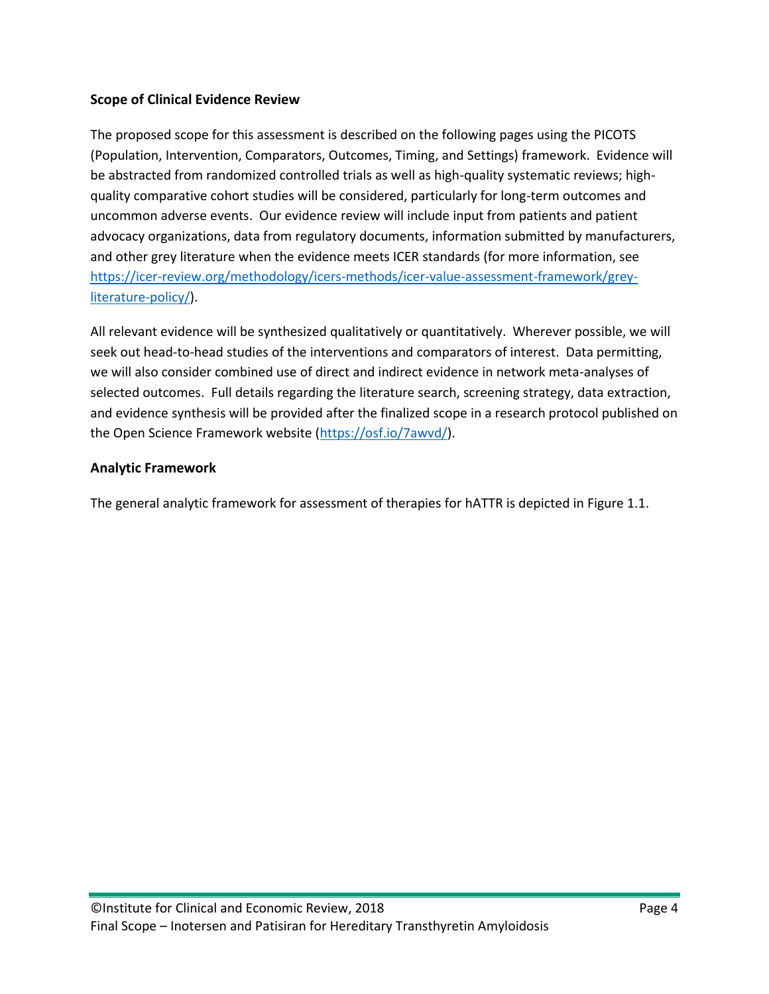## **Scope of Clinical Evidence Review**

The proposed scope for this assessment is described on the following pages using the PICOTS (Population, Intervention, Comparators, Outcomes, Timing, and Settings) framework. Evidence will be abstracted from randomized controlled trials as well as high-quality systematic reviews; highquality comparative cohort studies will be considered, particularly for long-term outcomes and uncommon adverse events. Our evidence review will include input from patients and patient advocacy organizations, data from regulatory documents, information submitted by manufacturers, and other grey literature when the evidence meets ICER standards (for more information, see [https://icer-review.org/methodology/icers-methods/icer-value-assessment-framework/grey](https://icer-review.org/methodology/icers-methods/icer-value-assessment-framework/grey-literature-policy/)[literature-policy/\)](https://icer-review.org/methodology/icers-methods/icer-value-assessment-framework/grey-literature-policy/).

All relevant evidence will be synthesized qualitatively or quantitatively. Wherever possible, we will seek out head-to-head studies of the interventions and comparators of interest. Data permitting, we will also consider combined use of direct and indirect evidence in network meta-analyses of selected outcomes. Full details regarding the literature search, screening strategy, data extraction, and evidence synthesis will be provided after the finalized scope in a research protocol published on the Open Science Framework website [\(https://osf.io/7awvd/\)](https://osf.io/7awvd/).

## **Analytic Framework**

The general analytic framework for assessment of therapies for hATTR is depicted in Figure 1.1.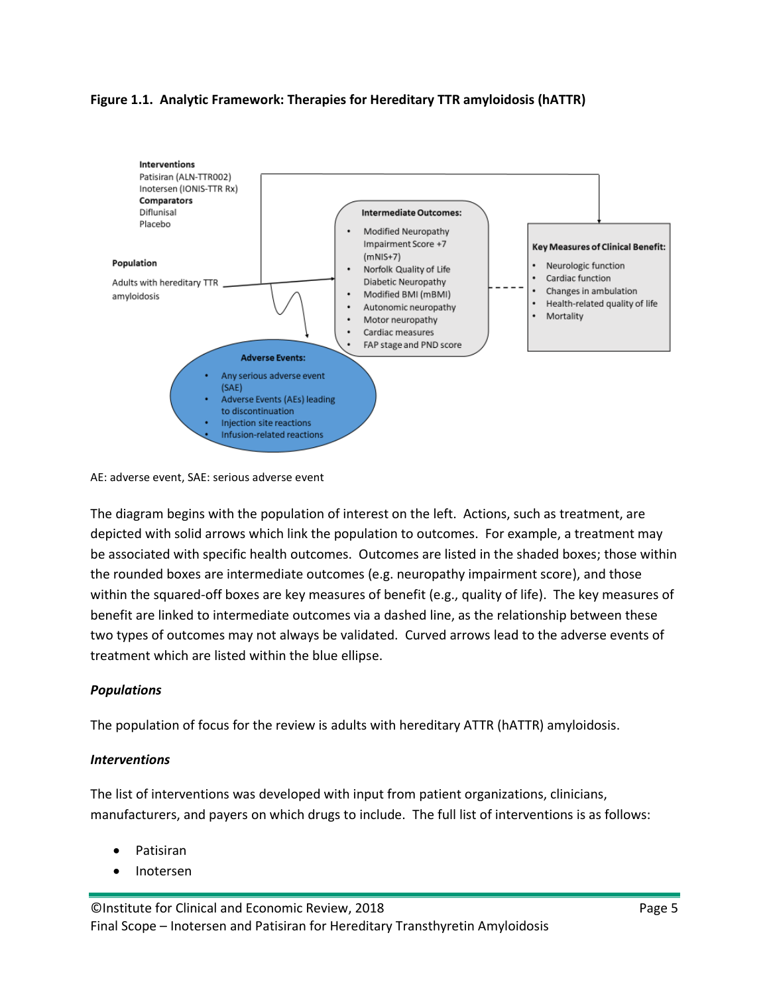#### **Figure 1.1. Analytic Framework: Therapies for Hereditary TTR amyloidosis (hATTR)**



AE: adverse event, SAE: serious adverse event

The diagram begins with the population of interest on the left. Actions, such as treatment, are depicted with solid arrows which link the population to outcomes. For example, a treatment may be associated with specific health outcomes. Outcomes are listed in the shaded boxes; those within the rounded boxes are intermediate outcomes (e.g. neuropathy impairment score), and those within the squared-off boxes are key measures of benefit (e.g., quality of life). The key measures of benefit are linked to intermediate outcomes via a dashed line, as the relationship between these two types of outcomes may not always be validated. Curved arrows lead to the adverse events of treatment which are listed within the blue ellipse.

## *Populations*

The population of focus for the review is adults with hereditary ATTR (hATTR) amyloidosis.

#### *Interventions*

The list of interventions was developed with input from patient organizations, clinicians, manufacturers, and payers on which drugs to include. The full list of interventions is as follows:

- Patisiran
- Inotersen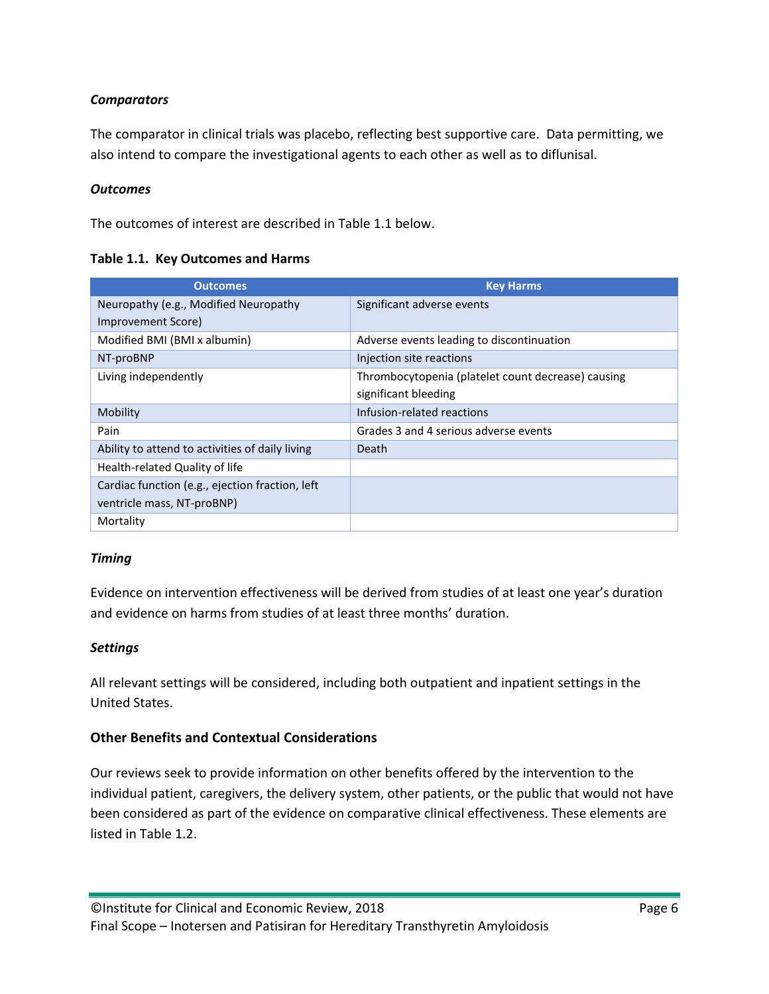## *Comparators*

The comparator in clinical trials was placebo, reflecting best supportive care. Data permitting, we also intend to compare the investigational agents to each other as well as to diflunisal.

## *Outcomes*

The outcomes of interest are described in Table 1.1 below.

**Table 1.1. Key Outcomes and Harms**

| <b>Outcomes</b>                                 | <b>Key Harms</b>                                   |  |
|-------------------------------------------------|----------------------------------------------------|--|
| Neuropathy (e.g., Modified Neuropathy           | Significant adverse events                         |  |
| Improvement Score)                              |                                                    |  |
| Modified BMI (BMI x albumin)                    | Adverse events leading to discontinuation          |  |
| NT-proBNP                                       | Injection site reactions                           |  |
| Living independently                            | Thrombocytopenia (platelet count decrease) causing |  |
|                                                 | significant bleeding                               |  |
| Mobility                                        | Infusion-related reactions                         |  |
| Pain                                            | Grades 3 and 4 serious adverse events              |  |
| Ability to attend to activities of daily living | Death                                              |  |
| Health-related Quality of life                  |                                                    |  |
| Cardiac function (e.g., ejection fraction, left |                                                    |  |
| ventricle mass, NT-proBNP)                      |                                                    |  |
| Mortality                                       |                                                    |  |

## *Timing*

Evidence on intervention effectiveness will be derived from studies of at least one year's duration and evidence on harms from studies of at least three months' duration.

## *Settings*

All relevant settings will be considered, including both outpatient and inpatient settings in the United States.

## **Other Benefits and Contextual Considerations**

Our reviews seek to provide information on other benefits offered by the intervention to the individual patient, caregivers, the delivery system, other patients, or the public that would not have been considered as part of the evidence on comparative clinical effectiveness. These elements are listed in Table 1.2.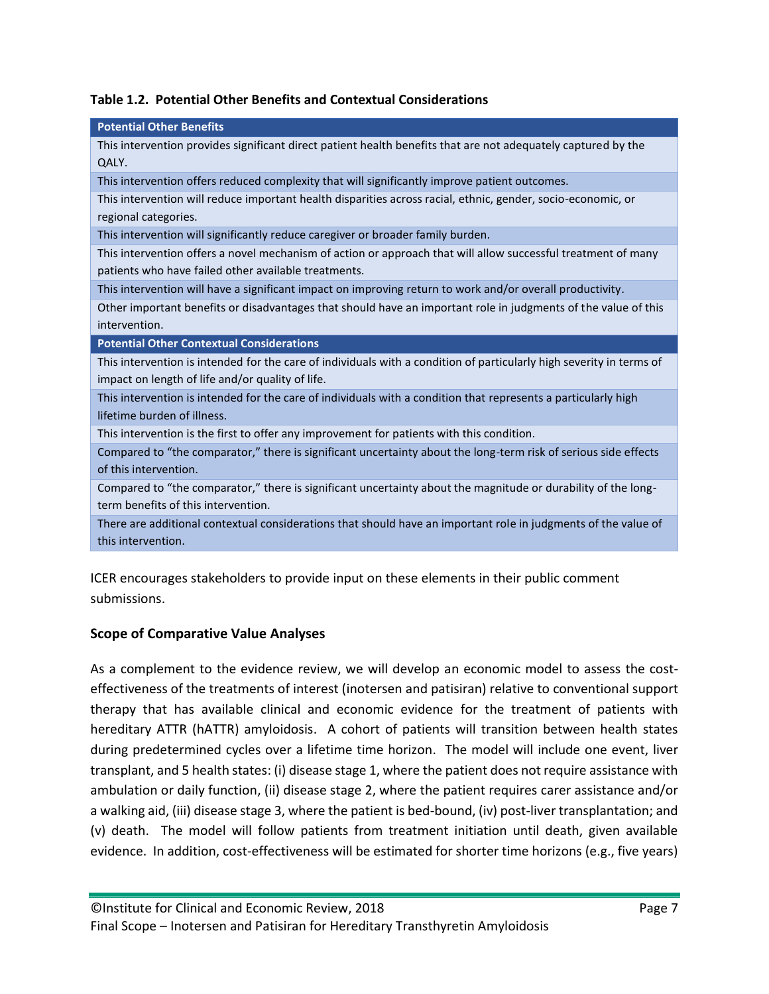|  | Table 1.2. Potential Other Benefits and Contextual Considerations |  |  |  |
|--|-------------------------------------------------------------------|--|--|--|
|--|-------------------------------------------------------------------|--|--|--|

| <b>Potential Other Benefits</b>                                                                                      |
|----------------------------------------------------------------------------------------------------------------------|
| This intervention provides significant direct patient health benefits that are not adequately captured by the        |
| QALY.                                                                                                                |
| This intervention offers reduced complexity that will significantly improve patient outcomes.                        |
| This intervention will reduce important health disparities across racial, ethnic, gender, socio-economic, or         |
| regional categories.                                                                                                 |
| This intervention will significantly reduce caregiver or broader family burden.                                      |
| This intervention offers a novel mechanism of action or approach that will allow successful treatment of many        |
| patients who have failed other available treatments.                                                                 |
| This intervention will have a significant impact on improving return to work and/or overall productivity.            |
| Other important benefits or disadvantages that should have an important role in judgments of the value of this       |
| intervention.                                                                                                        |
| <b>Potential Other Contextual Considerations</b>                                                                     |
| This intervention is intended for the care of individuals with a condition of particularly high severity in terms of |
| impact on length of life and/or quality of life.                                                                     |
| This intervention is intended for the care of individuals with a condition that represents a particularly high       |
| lifetime burden of illness.                                                                                          |
| This intervention is the first to offer any improvement for patients with this condition.                            |
| Compared to "the comparator," there is significant uncertainty about the long-term risk of serious side effects      |
| of this intervention.                                                                                                |
| Compared to "the comparator," there is significant uncertainty about the magnitude or durability of the long-        |
| term benefits of this intervention.                                                                                  |
| There are additional contextual considerations that should have an important role in judgments of the value of       |
| this intervention.                                                                                                   |
|                                                                                                                      |

ICER encourages stakeholders to provide input on these elements in their public comment submissions.

# **Scope of Comparative Value Analyses**

As a complement to the evidence review, we will develop an economic model to assess the costeffectiveness of the treatments of interest (inotersen and patisiran) relative to conventional support therapy that has available clinical and economic evidence for the treatment of patients with hereditary ATTR (hATTR) amyloidosis. A cohort of patients will transition between health states during predetermined cycles over a lifetime time horizon. The model will include one event, liver transplant, and 5 health states: (i) disease stage 1, where the patient does not require assistance with ambulation or daily function, (ii) disease stage 2, where the patient requires carer assistance and/or a walking aid, (iii) disease stage 3, where the patient is bed-bound, (iv) post-liver transplantation; and (v) death. The model will follow patients from treatment initiation until death, given available evidence. In addition, cost-effectiveness will be estimated for shorter time horizons (e.g., five years)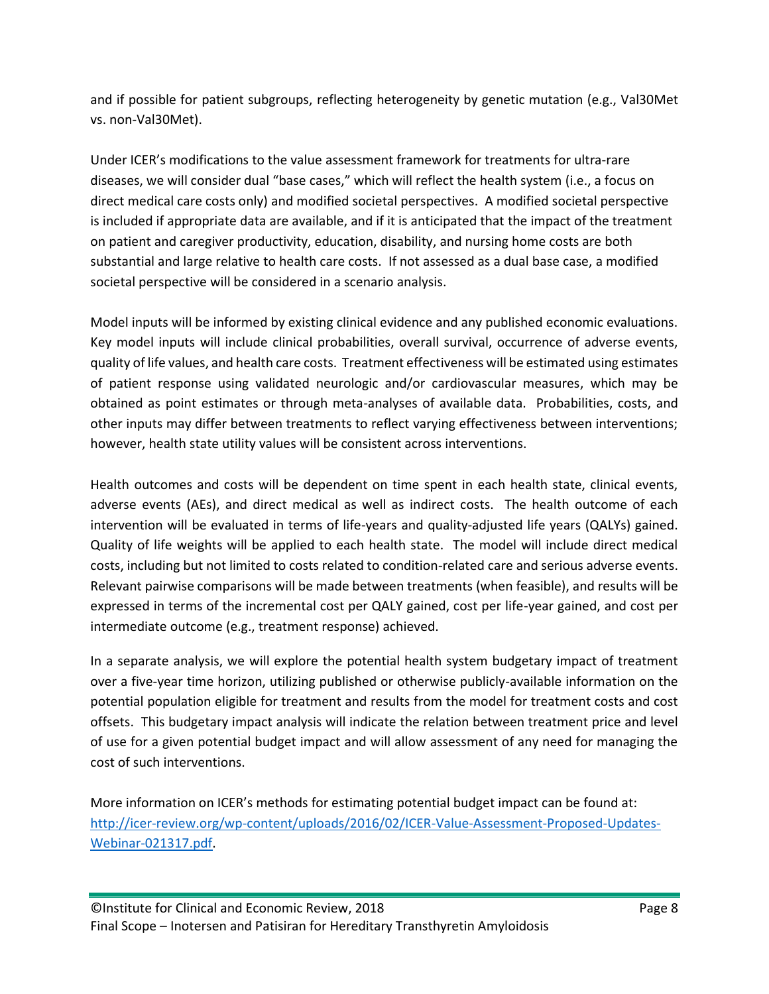and if possible for patient subgroups, reflecting heterogeneity by genetic mutation (e.g., Val30Met vs. non-Val30Met).

Under ICER's modifications to the value assessment framework for treatments for ultra-rare diseases, we will consider dual "base cases," which will reflect the health system (i.e., a focus on direct medical care costs only) and modified societal perspectives. A modified societal perspective is included if appropriate data are available, and if it is anticipated that the impact of the treatment on patient and caregiver productivity, education, disability, and nursing home costs are both substantial and large relative to health care costs. If not assessed as a dual base case, a modified societal perspective will be considered in a scenario analysis.

Model inputs will be informed by existing clinical evidence and any published economic evaluations. Key model inputs will include clinical probabilities, overall survival, occurrence of adverse events, quality of life values, and health care costs. Treatment effectiveness will be estimated using estimates of patient response using validated neurologic and/or cardiovascular measures, which may be obtained as point estimates or through meta-analyses of available data. Probabilities, costs, and other inputs may differ between treatments to reflect varying effectiveness between interventions; however, health state utility values will be consistent across interventions.

Health outcomes and costs will be dependent on time spent in each health state, clinical events, adverse events (AEs), and direct medical as well as indirect costs. The health outcome of each intervention will be evaluated in terms of life-years and quality-adjusted life years (QALYs) gained. Quality of life weights will be applied to each health state. The model will include direct medical costs, including but not limited to costs related to condition-related care and serious adverse events. Relevant pairwise comparisons will be made between treatments (when feasible), and results will be expressed in terms of the incremental cost per QALY gained, cost per life-year gained, and cost per intermediate outcome (e.g., treatment response) achieved.

In a separate analysis, we will explore the potential health system budgetary impact of treatment over a five-year time horizon, utilizing published or otherwise publicly-available information on the potential population eligible for treatment and results from the model for treatment costs and cost offsets. This budgetary impact analysis will indicate the relation between treatment price and level of use for a given potential budget impact and will allow assessment of any need for managing the cost of such interventions.

More information on ICER's methods for estimating potential budget impact can be found at: [http://icer-review.org/wp-content/uploads/2016/02/ICER-Value-Assessment-Proposed-Updates-](http://icer-review.org/wp-content/uploads/2016/02/ICER-Value-Assessment-Proposed-Updates-Webinar-021317.pdf)[Webinar-021317.pdf.](http://icer-review.org/wp-content/uploads/2016/02/ICER-Value-Assessment-Proposed-Updates-Webinar-021317.pdf)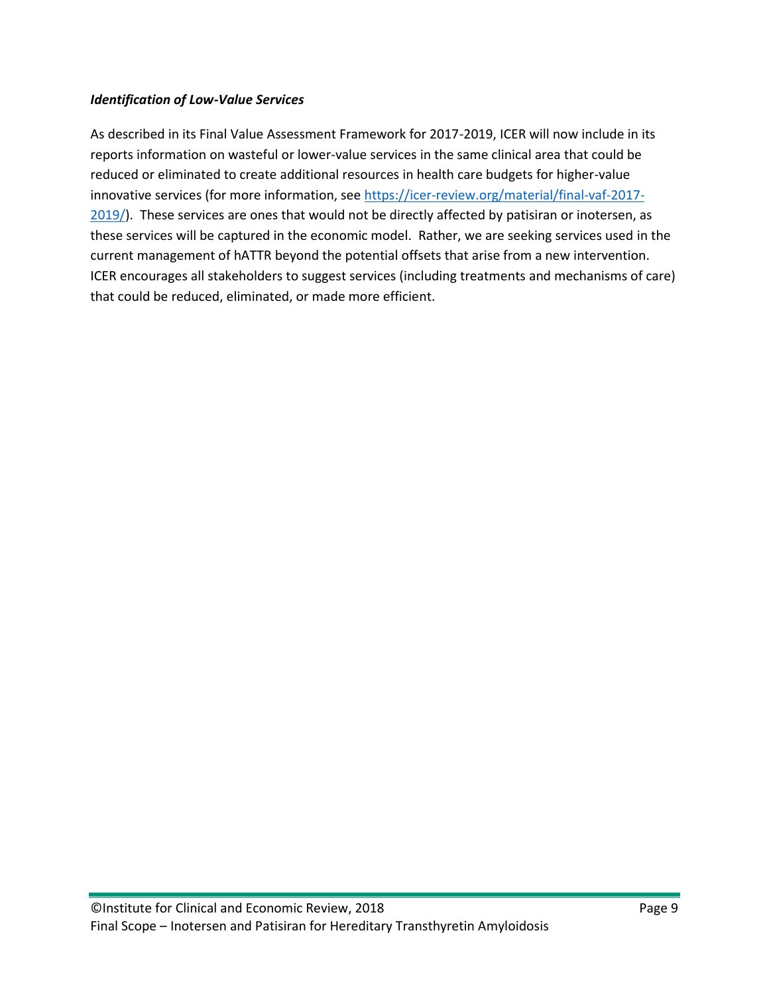## *Identification of Low-Value Services*

As described in its Final Value Assessment Framework for 2017-2019, ICER will now include in its reports information on wasteful or lower-value services in the same clinical area that could be reduced or eliminated to create additional resources in health care budgets for higher-value innovative services (for more information, see [https://icer-review.org/material/final-vaf-2017-](https://icer-review.org/material/final-vaf-2017-2019/) [2019/\)](https://icer-review.org/material/final-vaf-2017-2019/). These services are ones that would not be directly affected by patisiran or inotersen, as these services will be captured in the economic model. Rather, we are seeking services used in the current management of hATTR beyond the potential offsets that arise from a new intervention. ICER encourages all stakeholders to suggest services (including treatments and mechanisms of care) that could be reduced, eliminated, or made more efficient.